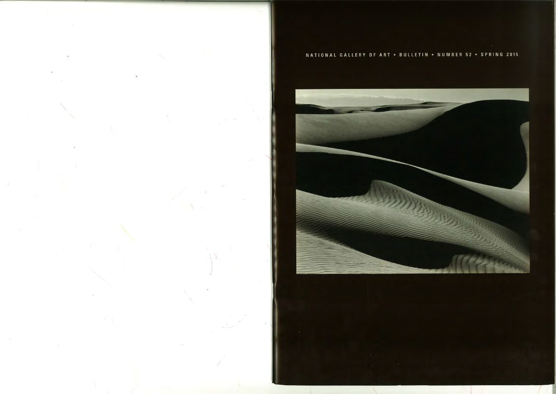## NATIONAL GALLERY OF ART . BULLETIN . NUMBER 52 . SPRING 2015

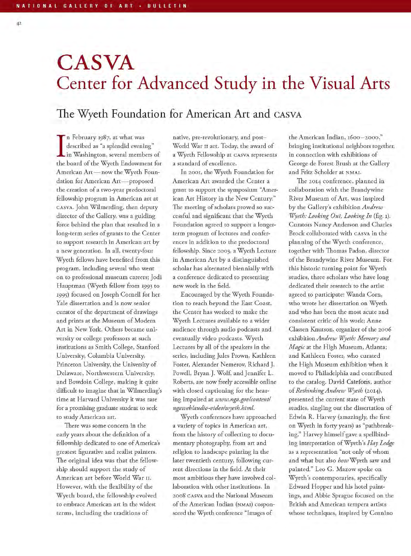$42$ 

## **CASVA** Center for Advanced Study in the Visual Arts

## The Wyeth Foundation for American Art and CASVA

In February 1987, at what was described as "a splendid evening" In Washington, several members of the board of the Wyeth Endowment for American Art-now the Wyeth Foundation for American Art-proposed the creation of a two-year predoctoral fellowship program in American art at CASVA. John Wilmerding, then deputy director of the Gallery, was a guiding force behind the plan that resulted in a long-term series of grants to the Center to support research in American art by a new generation. In all, twenty-four Wyeth fellows have benefited from this program, including several who went on to professional museum careers; Jodi Hauptman (Wyeth fellow from 1993 to 1995) focused on Joseph Cornell for her Yale dissertation and is now senior curator of the department of drawings and prints at the Museum of Modern Art in New York. Others became university or college professors at such institutions as Smith College, Stanford University, Columbia University, Princeton University, the University of Delaware, Northwestern University, and Bowdoin College, making it quite difficult to imagine that in Wilmerding's time at Harvard University it was rare for a promising graduate student to seek to study American art.

There was some concern in the early years about the definition of a fellowship dedicated to one of America's greatest figurative and realist painters. The original idea was that the fellowship should support the study of American art before World War II. However, with the flexibility of the Wyeth board, the fellowship evolved to embrace American art in the widest terms, including the traditions of

native, pre-revolutionary, and post-World War II art. Today, the award of a Wyeth Fellowship at CASVA represents a standard of excellence.

In 2001, the Wyeth Foundation for American Art awarded the Center a grant to support the symposium "American Art History in the New Century." The meeting of scholars proved so successful and significant that the Wyeth Foundation agreed to support a longerterm program of lectures and conferences in addition to the predoctoral fellowship. Since 2003, a Wyeth Lecture in American Art by a distinguished scholar has alternated biennially with a conference dedicated to presenting new work in the field.

Encouraged by the Wyeth Foundation to reach beyond the East Coast, the Center has worked to make the Wyeth Lectures available to a wider audience through audio podcasts and eventually video podcasts. Wyeth Lectures by all of the speakers in the series, including Jules Prown, Kathleen Foster, Alexander Nemerov, Richard J. Powell, Bryan J. Wolf, and Jennifer L. Roberts, are now freely accessible online with closed captioning for the hearing impaired at www.nga.gov/content/ ngaweblaudio-videolwyeth.html.

Wyeth conferences have approached a variety of topics in American art, from the history of collecting to documentary photography, from art and religion to landscape painting in the later twentieth century, following current directions in the field. At their most ambitious they have involved collaboration with other institutions. In 2008 CASVA and the National Museum of the American Indian (NMAI) cosponsored the Wyeth conference "Images of

the American Indian, 1600-2000," bringing institutional neighbors together, in connection with exhibitions of George de Forest Brush at the Gallery and Fritz Scholder at NMAI.

The 2014 conference, planned in collaboration with the Brandywine River Museum of Art, was inspired by the Gallery's exhibition Andrew Wyeth: Looking Out, Looking In (fig. 1). Curators Nancy Anderson and Charles Brock collaborated with CASVA in the planning of the Wyeth conference, together with Thomas Padon, director of the Brandywine River Museum. For this historic turning point for Wyeth studies, three scholars who have long dedicated their research to the artist agreed to participate: Wanda Corn, who wrote her dissertation on Wyeth and who has been the most acute and consistent critic of his work; Anne Classen Knutson, organizer of the 2006 exhibition Andrew Wyeth: Memory and Magic at the High Museum, Atlanta; and Kathleen Foster, who curated the High Museum exhibition when it moved to Philadelphia and contributed to the catalog. David Cateforis, author of Rethinking Andrew Wyeth (2014), presented the current state of Wyeth studies, singling out the dissertation of Edwin R. Harvey (amazingly, the first on Wyeth in forty years) as "pathbreaking." Harvey himself gave a spellbinding interpretation of Wyeth's Hay Ledge as a representation "not only of whom and what but also how Wyeth saw and painted." Leo G. Mazow spoke on Wyeth's contemporaries, specifically Edward Hopper and his hotel paintings, and Abbie Sprague focused on the British and American tempera artists whose techniques, inspired by Cennino